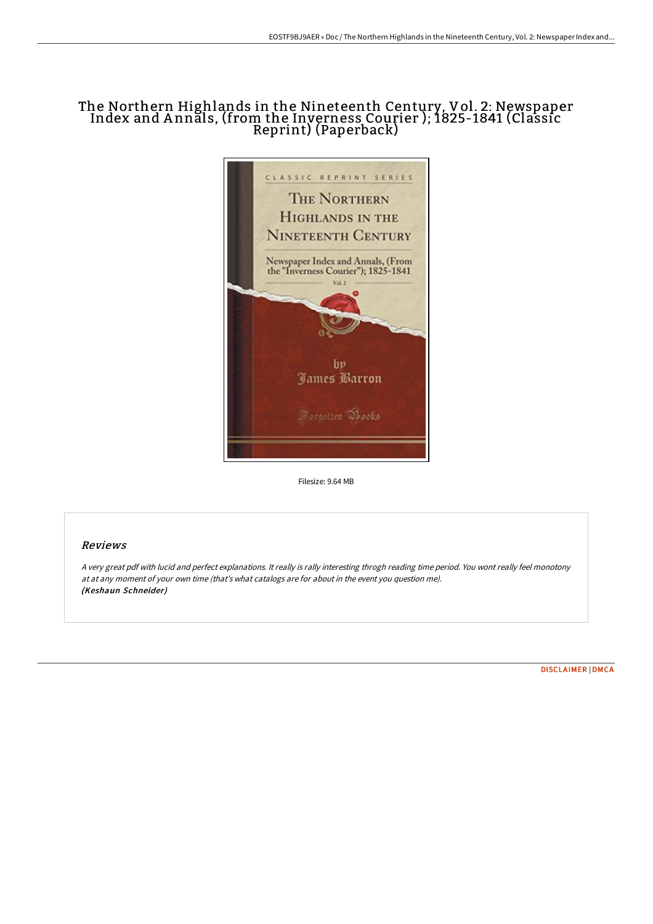## The Northern Highlands in the Nineteenth Century, Vol. 2: Newspaper Index and A nnals, (from the Inverness Courier ); 1825-1841 (Classic Reprint) (Paperback)



Filesize: 9.64 MB

## Reviews

<sup>A</sup> very great pdf with lucid and perfect explanations. It really is rally interesting throgh reading time period. You wont really feel monotony at at any moment of your own time (that's what catalogs are for about in the event you question me). (Keshaun Schneider)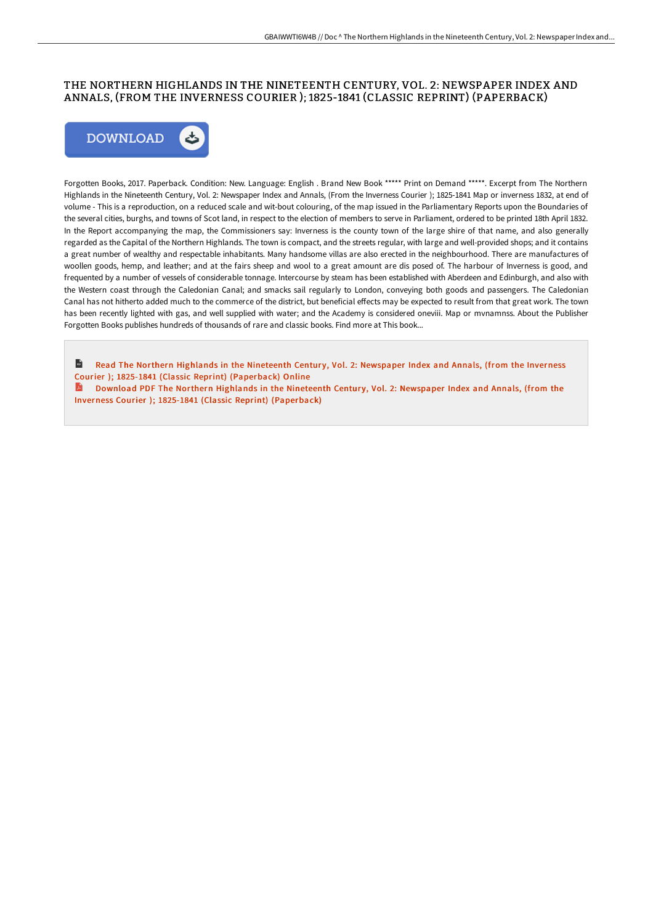## THE NORTHERN HIGHLANDS IN THE NINETEENTH CENTURY, VOL. 2: NEWSPAPER INDEX AND ANNALS, (FROM THE INVERNESS COURIER ); 1825-1841 (CLASSIC REPRINT) (PAPERBACK)



Forgotten Books, 2017. Paperback. Condition: New. Language: English . Brand New Book \*\*\*\*\* Print on Demand \*\*\*\*\*. Excerpt from The Northern Highlands in the Nineteenth Century, Vol. 2: Newspaper Index and Annals, (From the Inverness Courier ); 1825-1841 Map or inverness 1832, at end of volume - This is a reproduction, on a reduced scale and wit-bout colouring, of the map issued in the Parliamentary Reports upon the Boundaries of the several cities, burghs, and towns of Scot land, in respect to the election of members to serve in Parliament, ordered to be printed 18th April 1832. In the Report accompanying the map, the Commissioners say: Inverness is the county town of the large shire of that name, and also generally regarded as the Capital of the Northern Highlands. The town is compact, and the streets regular, with large and well-provided shops; and it contains a great number of wealthy and respectable inhabitants. Many handsome villas are also erected in the neighbourhood. There are manufactures of woollen goods, hemp, and leather; and at the fairs sheep and wool to a great amount are dis posed of. The harbour of Inverness is good, and frequented by a number of vessels of considerable tonnage. Intercourse by steam has been established with Aberdeen and Edinburgh, and also with the Western coast through the Caledonian Canal; and smacks sail regularly to London, conveying both goods and passengers. The Caledonian Canal has not hitherto added much to the commerce of the district, but beneficial effects may be expected to result from that great work. The town has been recently lighted with gas, and well supplied with water; and the Academy is considered oneviii. Map or mvnamnss. About the Publisher Forgotten Books publishes hundreds of thousands of rare and classic books. Find more at This book...

 $\mathbf{r}$ Read The Northern Highlands in the Nineteenth Century, Vol. 2: Newspaper Index and Annals, (from the Inverness Courier ); 1825-1841 (Classic Reprint) [\(Paperback\)](http://techno-pub.tech/the-northern-highlands-in-the-nineteenth-century.html) Online

Download PDF The Northern Highlands in the Nineteenth Century, Vol. 2: Newspaper Index and Annals, (from the Inverness Courier ); 1825-1841 (Classic Reprint) [\(Paperback\)](http://techno-pub.tech/the-northern-highlands-in-the-nineteenth-century.html)